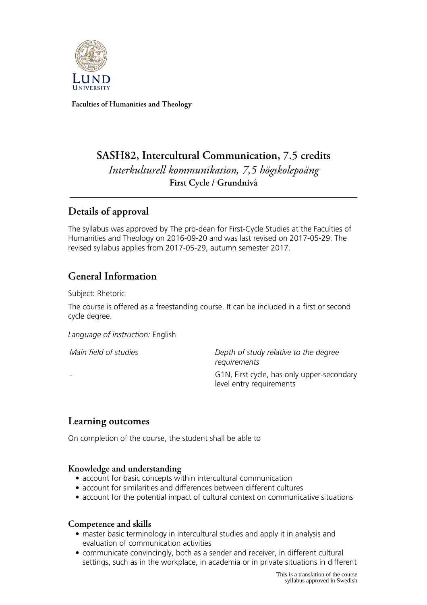

**Faculties of Humanities and Theology**

# **SASH82, Intercultural Communication, 7.5 credits** *Interkulturell kommunikation, 7,5 högskolepoäng* **First Cycle / Grundnivå**

## **Details of approval**

The syllabus was approved by The pro-dean for First-Cycle Studies at the Faculties of Humanities and Theology on 2016-09-20 and was last revised on 2017-05-29. The revised syllabus applies from 2017-05-29, autumn semester 2017.

## **General Information**

Subject: Rhetoric

The course is offered as a freestanding course. It can be included in a first or second cycle degree.

*Language of instruction:* English

*Main field of studies Depth of study relative to the degree requirements* G1N, First cycle, has only upper-secondary level entry requirements

## **Learning outcomes**

On completion of the course, the student shall be able to

#### **Knowledge and understanding**

- account for basic concepts within intercultural communication
- account for similarities and differences between different cultures
- account for the potential impact of cultural context on communicative situations

#### **Competence and skills**

- master basic terminology in intercultural studies and apply it in analysis and evaluation of communication activities
- communicate convincingly, both as a sender and receiver, in different cultural settings, such as in the workplace, in academia or in private situations in different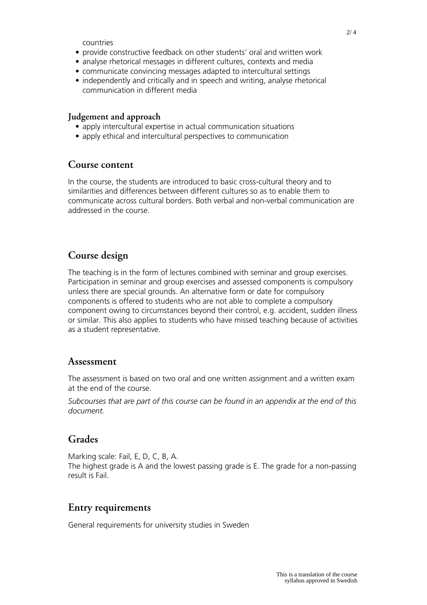countries

- provide constructive feedback on other students' oral and written work
- analyse rhetorical messages in different cultures, contexts and media
- communicate convincing messages adapted to intercultural settings
- independently and critically and in speech and writing, analyse rhetorical communication in different media

#### **Judgement and approach**

- apply intercultural expertise in actual communication situations
- apply ethical and intercultural perspectives to communication

#### **Course content**

In the course, the students are introduced to basic cross-cultural theory and to similarities and differences between different cultures so as to enable them to communicate across cultural borders. Both verbal and non-verbal communication are addressed in the course.

### **Course design**

The teaching is in the form of lectures combined with seminar and group exercises. Participation in seminar and group exercises and assessed components is compulsory unless there are special grounds. An alternative form or date for compulsory components is offered to students who are not able to complete a compulsory component owing to circumstances beyond their control, e.g. accident, sudden illness or similar. This also applies to students who have missed teaching because of activities as a student representative.

#### **Assessment**

The assessment is based on two oral and one written assignment and a written exam at the end of the course.

*Subcourses that are part of this course can be found in an appendix at the end of this document.*

## **Grades**

Marking scale: Fail, E, D, C, B, A. The highest grade is A and the lowest passing grade is E. The grade for a non-passing result is Fail.

### **Entry requirements**

General requirements for university studies in Sweden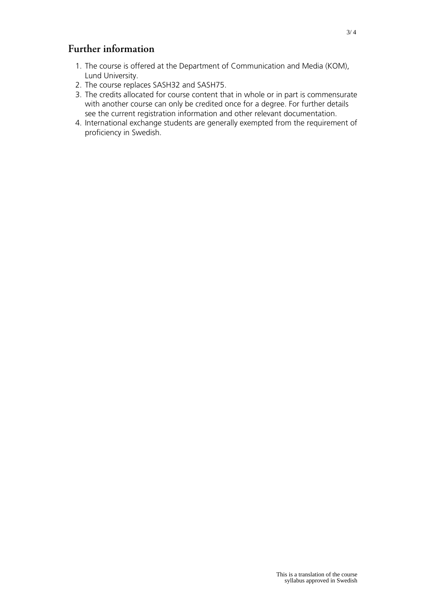## **Further information**

- 1. The course is offered at the Department of Communication and Media (KOM), Lund University.
- 2. The course replaces SASH32 and SASH75.
- 3. The credits allocated for course content that in whole or in part is commensurate with another course can only be credited once for a degree. For further details see the current registration information and other relevant documentation.
- 4. International exchange students are generally exempted from the requirement of proficiency in Swedish.